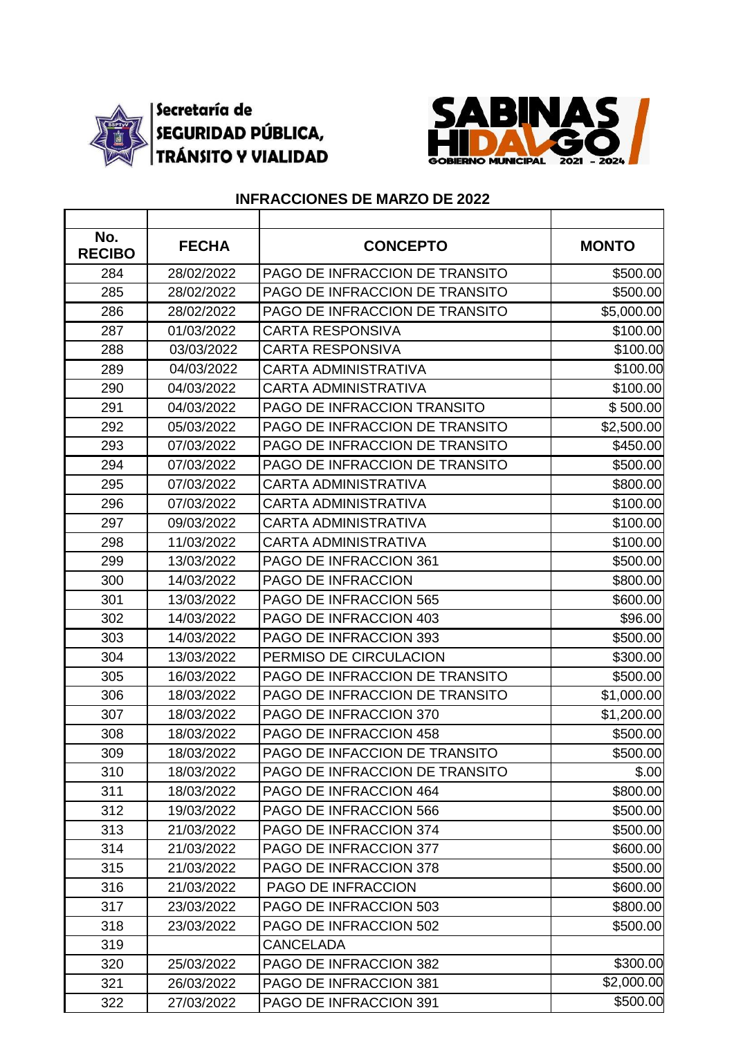

## Secretaría de<br>SEGURIDAD PÚBLICA,<br>TRÁNSITO Y VIALIDAD



## **INFRACCIONES DE MARZO DE 2022**

| No.<br><b>RECIBO</b> | <b>FECHA</b> | <b>CONCEPTO</b>                | <b>MONTO</b> |
|----------------------|--------------|--------------------------------|--------------|
| 284                  | 28/02/2022   | PAGO DE INFRACCION DE TRANSITO | \$500.00     |
| 285                  | 28/02/2022   | PAGO DE INFRACCION DE TRANSITO | \$500.00     |
| 286                  | 28/02/2022   | PAGO DE INFRACCION DE TRANSITO | \$5,000.00   |
| 287                  | 01/03/2022   | <b>CARTA RESPONSIVA</b>        | \$100.00     |
| 288                  | 03/03/2022   | <b>CARTA RESPONSIVA</b>        | \$100.00     |
| 289                  | 04/03/2022   | <b>CARTA ADMINISTRATIVA</b>    | \$100.00     |
| 290                  | 04/03/2022   | <b>CARTA ADMINISTRATIVA</b>    | \$100.00     |
| 291                  | 04/03/2022   | PAGO DE INFRACCION TRANSITO    | \$500.00     |
| 292                  | 05/03/2022   | PAGO DE INFRACCION DE TRANSITO | \$2,500.00   |
| 293                  | 07/03/2022   | PAGO DE INFRACCION DE TRANSITO | \$450.00     |
| 294                  | 07/03/2022   | PAGO DE INFRACCION DE TRANSITO | \$500.00     |
| 295                  | 07/03/2022   | <b>CARTA ADMINISTRATIVA</b>    | \$800.00     |
| 296                  | 07/03/2022   | <b>CARTA ADMINISTRATIVA</b>    | \$100.00     |
| 297                  | 09/03/2022   | <b>CARTA ADMINISTRATIVA</b>    | \$100.00     |
| 298                  | 11/03/2022   | <b>CARTA ADMINISTRATIVA</b>    | \$100.00     |
| 299                  | 13/03/2022   | PAGO DE INFRACCION 361         | \$500.00     |
| 300                  | 14/03/2022   | PAGO DE INFRACCION             | \$800.00     |
| 301                  | 13/03/2022   | PAGO DE INFRACCION 565         | \$600.00     |
| 302                  | 14/03/2022   | PAGO DE INFRACCION 403         | \$96.00      |
| 303                  | 14/03/2022   | PAGO DE INFRACCION 393         | \$500.00     |
| 304                  | 13/03/2022   | PERMISO DE CIRCULACION         | \$300.00     |
| 305                  | 16/03/2022   | PAGO DE INFRACCION DE TRANSITO | \$500.00     |
| 306                  | 18/03/2022   | PAGO DE INFRACCION DE TRANSITO | \$1,000.00   |
| 307                  | 18/03/2022   | PAGO DE INFRACCION 370         | \$1,200.00   |
| 308                  | 18/03/2022   | PAGO DE INFRACCION 458         | \$500.00     |
| 309                  | 18/03/2022   | PAGO DE INFACCION DE TRANSITO  | \$500.00     |
| 310                  | 18/03/2022   | PAGO DE INFRACCION DE TRANSITO | \$.00        |
| 311                  | 18/03/2022   | PAGO DE INFRACCION 464         | \$800.00     |
| 312                  | 19/03/2022   | PAGO DE INFRACCION 566         | \$500.00     |
| 313                  | 21/03/2022   | PAGO DE INFRACCION 374         | \$500.00     |
| 314                  | 21/03/2022   | <b>PAGO DE INFRACCION 377</b>  | \$600.00     |
| 315                  | 21/03/2022   | PAGO DE INFRACCION 378         | \$500.00     |
| 316                  | 21/03/2022   | PAGO DE INFRACCION             | \$600.00     |
| 317                  | 23/03/2022   | PAGO DE INFRACCION 503         | \$800.00     |
| 318                  | 23/03/2022   | PAGO DE INFRACCION 502         | \$500.00     |
| 319                  |              | <b>CANCELADA</b>               |              |
| 320                  | 25/03/2022   | PAGO DE INFRACCION 382         | \$300.00     |
| 321                  | 26/03/2022   | PAGO DE INFRACCION 381         | \$2,000.00   |
| 322                  | 27/03/2022   | PAGO DE INFRACCION 391         | \$500.00     |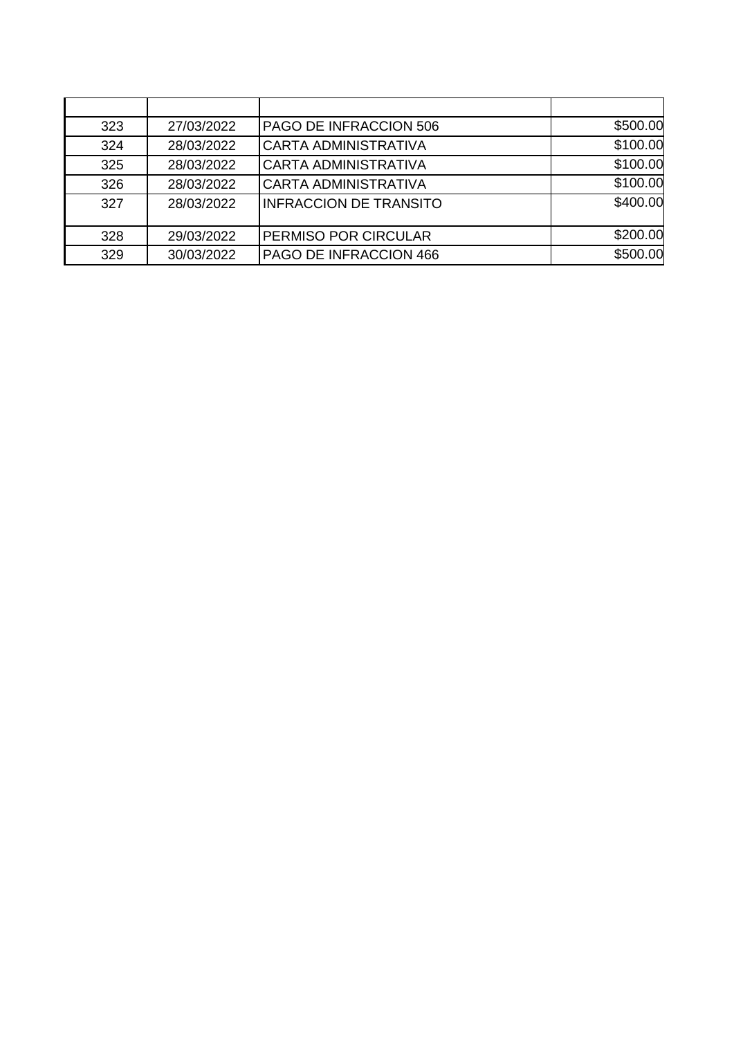| 323 | 27/03/2022 | PAGO DE INFRACCION 506        | \$500.00 |
|-----|------------|-------------------------------|----------|
| 324 | 28/03/2022 | <b>CARTA ADMINISTRATIVA</b>   | \$100.00 |
| 325 | 28/03/2022 | <b>CARTA ADMINISTRATIVA</b>   | \$100.00 |
| 326 | 28/03/2022 | <b>CARTA ADMINISTRATIVA</b>   | \$100.00 |
| 327 | 28/03/2022 | <b>INFRACCION DE TRANSITO</b> | \$400.00 |
| 328 | 29/03/2022 | PERMISO POR CIRCULAR          | \$200.00 |
| 329 | 30/03/2022 | PAGO DE INFRACCION 466        | \$500.00 |